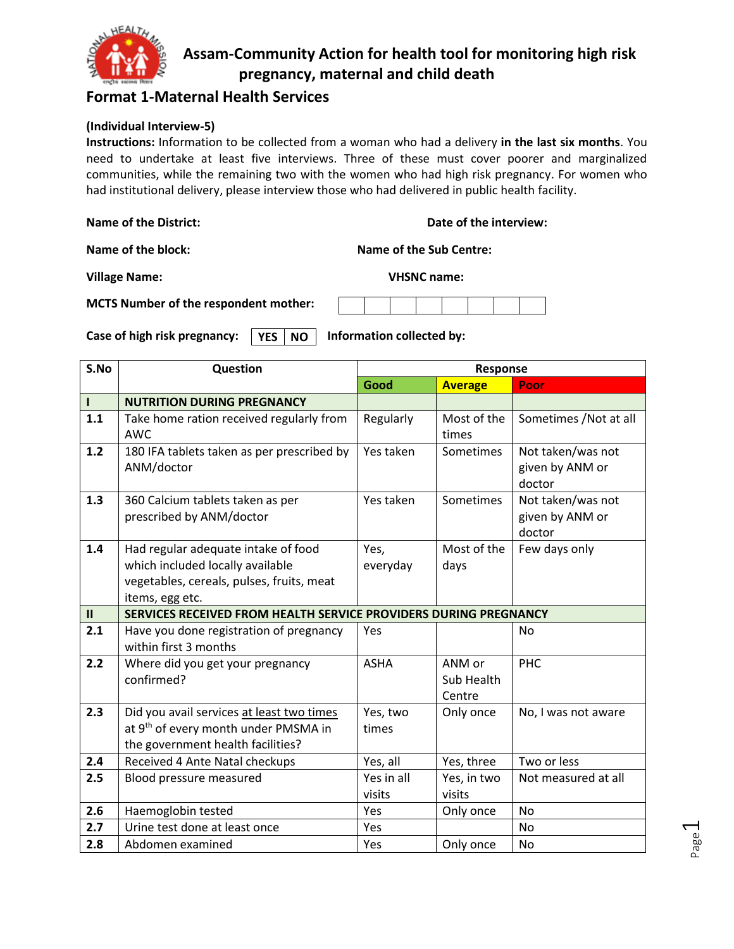

### **Format 1-Maternal Health Services**

#### **(Individual Interview-5)**

**Instructions:** Information to be collected from a woman who had a delivery **in the last six months**. You need to undertake at least five interviews. Three of these must cover poorer and marginalized communities, while the remaining two with the women who had high risk pregnancy. For women who had institutional delivery, please interview those who had delivered in public health facility.

| <b>Name of the District:</b> |  |
|------------------------------|--|
|------------------------------|--|

**Date of the interview:** 

**Name of the block: Name of the Sub Centre:** 

**Village Name: VHSNC name:**

**MCTS Number of the respondent mother:** 

Case of high risk pregnancy: **VES NO** Information collected by: **YES NO**

| S.No          | Question                                                                                                                                | Response               |                                  |                                                |  |                                                |
|---------------|-----------------------------------------------------------------------------------------------------------------------------------------|------------------------|----------------------------------|------------------------------------------------|--|------------------------------------------------|
|               |                                                                                                                                         | Good                   | <b>Average</b>                   | Poor                                           |  |                                                |
| $\mathbf{I}$  | <b>NUTRITION DURING PREGNANCY</b>                                                                                                       |                        |                                  |                                                |  |                                                |
| 1.1           | Take home ration received regularly from<br><b>AWC</b>                                                                                  | Regularly              | Most of the<br>times             | Sometimes / Not at all                         |  |                                                |
| 1.2           | 180 IFA tablets taken as per prescribed by<br>ANM/doctor                                                                                | Yes taken              | Sometimes                        | Not taken/was not<br>given by ANM or<br>doctor |  |                                                |
| 1.3           | 360 Calcium tablets taken as per<br>prescribed by ANM/doctor                                                                            | Yes taken<br>Sometimes |                                  |                                                |  | Not taken/was not<br>given by ANM or<br>doctor |
| 1.4           | Had regular adequate intake of food<br>which included locally available<br>vegetables, cereals, pulses, fruits, meat<br>items, egg etc. | Yes,<br>everyday       | Most of the<br>days              | Few days only                                  |  |                                                |
| $\mathbf{II}$ | SERVICES RECEIVED FROM HEALTH SERVICE PROVIDERS DURING PREGNANCY                                                                        |                        |                                  |                                                |  |                                                |
| 2.1           | Have you done registration of pregnancy<br>within first 3 months                                                                        | Yes                    |                                  | <b>No</b>                                      |  |                                                |
| 2.2           | Where did you get your pregnancy<br>confirmed?                                                                                          | <b>ASHA</b>            | ANM or<br>Sub Health<br>Centre   | PHC                                            |  |                                                |
| 2.3           | Did you avail services at least two times<br>at 9 <sup>th</sup> of every month under PMSMA in<br>the government health facilities?      | Yes, two<br>times      | Only once<br>No, I was not aware |                                                |  |                                                |
| 2.4           | Received 4 Ante Natal checkups                                                                                                          | Yes, all               | Yes, three                       | Two or less                                    |  |                                                |
| 2.5           | Blood pressure measured                                                                                                                 | Yes in all<br>visits   | Yes, in two<br>visits            | Not measured at all                            |  |                                                |
| 2.6           | Haemoglobin tested                                                                                                                      | <b>Yes</b>             | Only once                        | <b>No</b>                                      |  |                                                |
| 2.7           | Urine test done at least once                                                                                                           | Yes                    |                                  | No                                             |  |                                                |
| 2.8           | Abdomen examined                                                                                                                        | Yes                    | Only once                        | No                                             |  |                                                |

Page  $\overline{\phantom{0}}$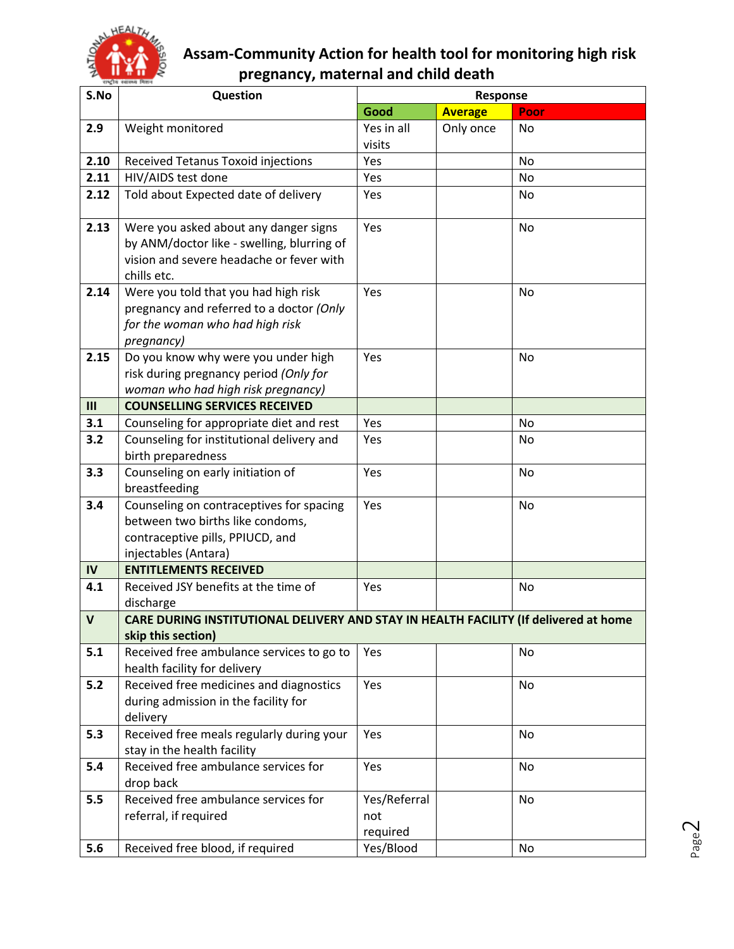

| S.No         | Question                                                                             |                     | <b>Response</b> |           |
|--------------|--------------------------------------------------------------------------------------|---------------------|-----------------|-----------|
|              |                                                                                      | Good                | <b>Average</b>  | Poor      |
| 2.9          | Weight monitored                                                                     | Yes in all          | Only once       | No        |
|              |                                                                                      | visits              |                 |           |
| 2.10         | <b>Received Tetanus Toxoid injections</b>                                            | Yes                 |                 | <b>No</b> |
| 2.11         | HIV/AIDS test done                                                                   | Yes                 |                 | No        |
| 2.12         | Told about Expected date of delivery                                                 | Yes                 |                 | No        |
|              |                                                                                      |                     |                 |           |
| 2.13         | Were you asked about any danger signs                                                | Yes                 |                 | <b>No</b> |
|              | by ANM/doctor like - swelling, blurring of                                           |                     |                 |           |
|              | vision and severe headache or fever with                                             |                     |                 |           |
|              | chills etc.                                                                          |                     |                 |           |
| 2.14         | Were you told that you had high risk                                                 | Yes                 |                 | No        |
|              | pregnancy and referred to a doctor (Only<br>for the woman who had high risk          |                     |                 |           |
|              | pregnancy)                                                                           |                     |                 |           |
| 2.15         | Do you know why were you under high                                                  | Yes                 |                 | No        |
|              | risk during pregnancy period (Only for                                               |                     |                 |           |
|              | woman who had high risk pregnancy)                                                   |                     |                 |           |
| III          | <b>COUNSELLING SERVICES RECEIVED</b>                                                 |                     |                 |           |
| 3.1          | Counseling for appropriate diet and rest                                             | Yes                 |                 | No        |
| 3.2          | Counseling for institutional delivery and                                            | Yes                 |                 | No        |
|              | birth preparedness                                                                   |                     |                 |           |
| 3.3          | Counseling on early initiation of                                                    | Yes                 |                 | <b>No</b> |
|              | breastfeeding                                                                        |                     |                 |           |
| 3.4          | Counseling on contraceptives for spacing                                             | Yes                 |                 | No        |
|              | between two births like condoms,                                                     |                     |                 |           |
|              | contraceptive pills, PPIUCD, and                                                     |                     |                 |           |
|              | injectables (Antara)                                                                 |                     |                 |           |
| IV           | <b>ENTITLEMENTS RECEIVED</b>                                                         |                     |                 |           |
| 4.1          | Received JSY benefits at the time of<br>discharge                                    | Yes                 |                 | <b>No</b> |
| $\mathsf{V}$ | CARE DURING INSTITUTIONAL DELIVERY AND STAY IN HEALTH FACILITY (If delivered at home |                     |                 |           |
|              | skip this section)                                                                   |                     |                 |           |
| 5.1          | Received free ambulance services to go to                                            | Yes                 |                 | No.       |
|              | health facility for delivery                                                         |                     |                 |           |
| 5.2          | Received free medicines and diagnostics                                              | Yes                 |                 | No        |
|              | during admission in the facility for                                                 |                     |                 |           |
|              | delivery                                                                             |                     |                 |           |
| 5.3          | Received free meals regularly during your                                            | Yes                 |                 | <b>No</b> |
|              | stay in the health facility                                                          |                     |                 |           |
| 5.4          | Received free ambulance services for                                                 | Yes                 |                 | No.       |
|              | drop back<br>Received free ambulance services for                                    |                     |                 |           |
| 5.5          | referral, if required                                                                | Yes/Referral<br>not |                 | No        |
|              |                                                                                      | required            |                 |           |
| 5.6          | Received free blood, if required                                                     | Yes/Blood           |                 | No        |
|              |                                                                                      |                     |                 |           |

Page  $\mathrel{\sim}$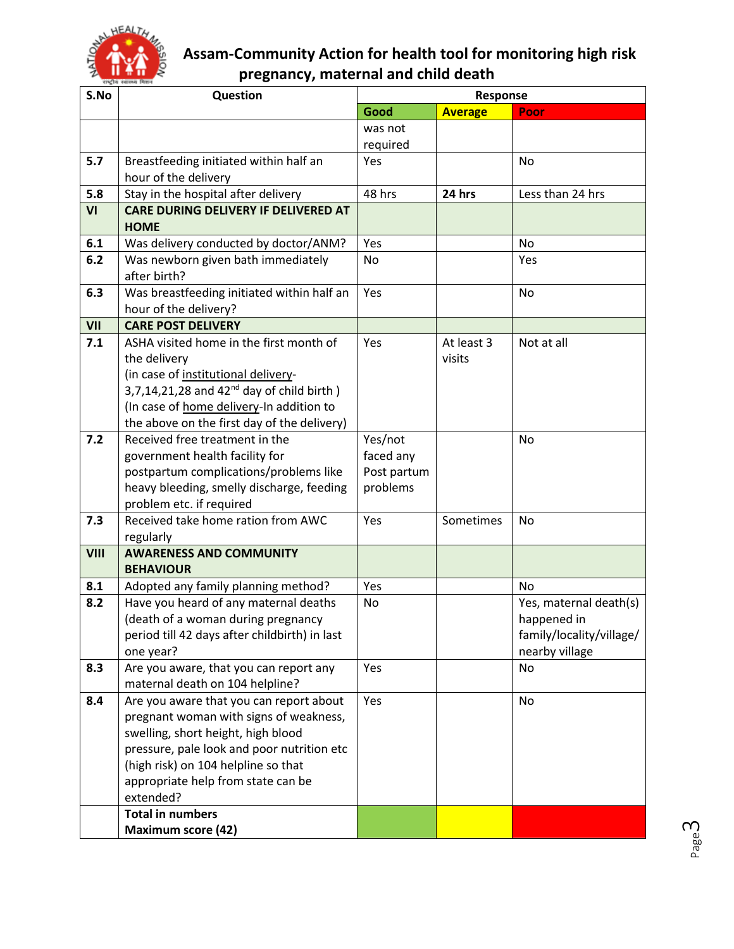

| S.No | Question                                                                         |             | Response       |                          |
|------|----------------------------------------------------------------------------------|-------------|----------------|--------------------------|
|      |                                                                                  | Good        | <b>Average</b> | Poor                     |
|      |                                                                                  | was not     |                |                          |
|      |                                                                                  | required    |                |                          |
| 5.7  | Breastfeeding initiated within half an                                           | Yes         |                | <b>No</b>                |
|      | hour of the delivery                                                             |             |                |                          |
| 5.8  | Stay in the hospital after delivery                                              | 48 hrs      | 24 hrs         | Less than 24 hrs         |
| VI   | <b>CARE DURING DELIVERY IF DELIVERED AT</b>                                      |             |                |                          |
|      | <b>HOME</b>                                                                      |             |                |                          |
| 6.1  | Was delivery conducted by doctor/ANM?                                            | Yes         |                | <b>No</b>                |
| 6.2  | Was newborn given bath immediately<br>after birth?                               | No          |                | Yes                      |
|      |                                                                                  |             |                |                          |
| 6.3  | Was breastfeeding initiated within half an<br>hour of the delivery?              | Yes         |                | <b>No</b>                |
| VII  | <b>CARE POST DELIVERY</b>                                                        |             |                |                          |
| 7.1  | ASHA visited home in the first month of                                          | Yes         | At least 3     | Not at all               |
|      | the delivery                                                                     |             | visits         |                          |
|      | (in case of institutional delivery-                                              |             |                |                          |
|      | $3,7,14,21,28$ and $42nd$ day of child birth)                                    |             |                |                          |
|      | (In case of home delivery-In addition to                                         |             |                |                          |
|      | the above on the first day of the delivery)                                      |             |                |                          |
| 7.2  | Received free treatment in the                                                   | Yes/not     |                | <b>No</b>                |
|      | government health facility for                                                   | faced any   |                |                          |
|      | postpartum complications/problems like                                           | Post partum |                |                          |
|      | heavy bleeding, smelly discharge, feeding                                        | problems    |                |                          |
|      | problem etc. if required                                                         |             |                |                          |
| 7.3  | Received take home ration from AWC                                               | Yes         | Sometimes      | No                       |
|      | regularly                                                                        |             |                |                          |
| VIII | <b>AWARENESS AND COMMUNITY</b>                                                   |             |                |                          |
|      | <b>BEHAVIOUR</b>                                                                 |             |                |                          |
| 8.1  | Adopted any family planning method?                                              | Yes         |                | <b>No</b>                |
| 8.2  | Have you heard of any maternal deaths                                            | No          |                | Yes, maternal death(s)   |
|      | (death of a woman during pregnancy                                               |             |                | happened in              |
|      | period till 42 days after childbirth) in last                                    |             |                | family/locality/village/ |
|      | one year?                                                                        |             |                | nearby village           |
| 8.3  | Are you aware, that you can report any                                           | Yes         |                | <b>No</b>                |
|      | maternal death on 104 helpline?                                                  |             |                |                          |
| 8.4  | Are you aware that you can report about                                          | Yes         |                | No                       |
|      | pregnant woman with signs of weakness,                                           |             |                |                          |
|      | swelling, short height, high blood<br>pressure, pale look and poor nutrition etc |             |                |                          |
|      | (high risk) on 104 helpline so that                                              |             |                |                          |
|      | appropriate help from state can be                                               |             |                |                          |
|      | extended?                                                                        |             |                |                          |
|      | <b>Total in numbers</b>                                                          |             |                |                          |
|      | <b>Maximum score (42)</b>                                                        |             |                |                          |
|      |                                                                                  |             |                |                          |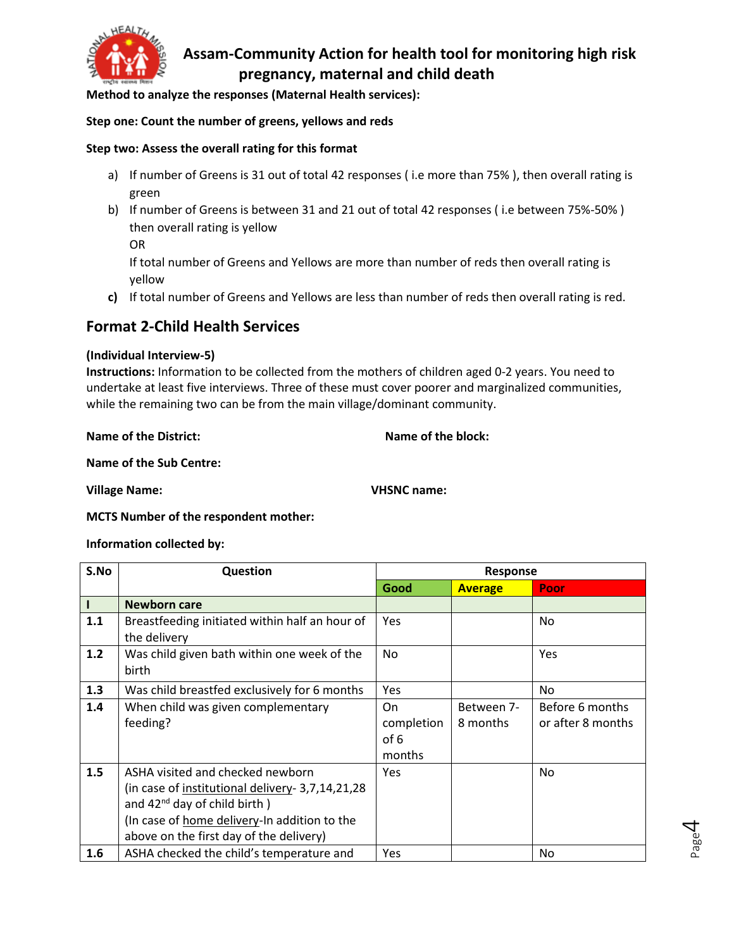

**Method to analyze the responses (Maternal Health services):**

#### **Step one: Count the number of greens, yellows and reds**

#### **Step two: Assess the overall rating for this format**

- a) If number of Greens is 31 out of total 42 responses (i.e more than 75%), then overall rating is green
- b) If number of Greens is between 31 and 21 out of total 42 responses ( i.e between 75%-50% ) then overall rating is yellow

OR

If total number of Greens and Yellows are more than number of reds then overall rating is yellow

**c)** If total number of Greens and Yellows are less than number of reds then overall rating is red.

### **Format 2-Child Health Services**

#### **(Individual Interview-5)**

**Instructions:** Information to be collected from the mothers of children aged 0-2 years. You need to undertake at least five interviews. Three of these must cover poorer and marginalized communities, while the remaining two can be from the main village/dominant community.

**Name of the District:** Name of the block:

**Name of the Sub Centre:** 

**Village Name: VHSNC name:**

#### **MCTS Number of the respondent mother:**

#### **Information collected by:**

| S.No | <b>Question</b>                                                                                                                                                                                                       |                                    | <b>Response</b>        |                                      |
|------|-----------------------------------------------------------------------------------------------------------------------------------------------------------------------------------------------------------------------|------------------------------------|------------------------|--------------------------------------|
|      |                                                                                                                                                                                                                       | Good                               | <b>Average</b>         | Poor                                 |
|      | <b>Newborn care</b>                                                                                                                                                                                                   |                                    |                        |                                      |
| 1.1  | Breastfeeding initiated within half an hour of<br>the delivery                                                                                                                                                        | <b>Yes</b>                         |                        | No.                                  |
| 1.2  | Was child given bath within one week of the<br>birth                                                                                                                                                                  | <b>No</b>                          |                        | Yes                                  |
| 1.3  | Was child breastfed exclusively for 6 months                                                                                                                                                                          | <b>Yes</b>                         |                        | No.                                  |
| 1.4  | When child was given complementary<br>feeding?                                                                                                                                                                        | On<br>completion<br>of 6<br>months | Between 7-<br>8 months | Before 6 months<br>or after 8 months |
| 1.5  | ASHA visited and checked newborn<br>(in case of institutional delivery- 3,7,14,21,28)<br>and $42^{nd}$ day of child birth)<br>(In case of home delivery-In addition to the<br>above on the first day of the delivery) | <b>Yes</b>                         |                        | No.                                  |
| 1.6  | ASHA checked the child's temperature and                                                                                                                                                                              | <b>Yes</b>                         |                        | No.                                  |

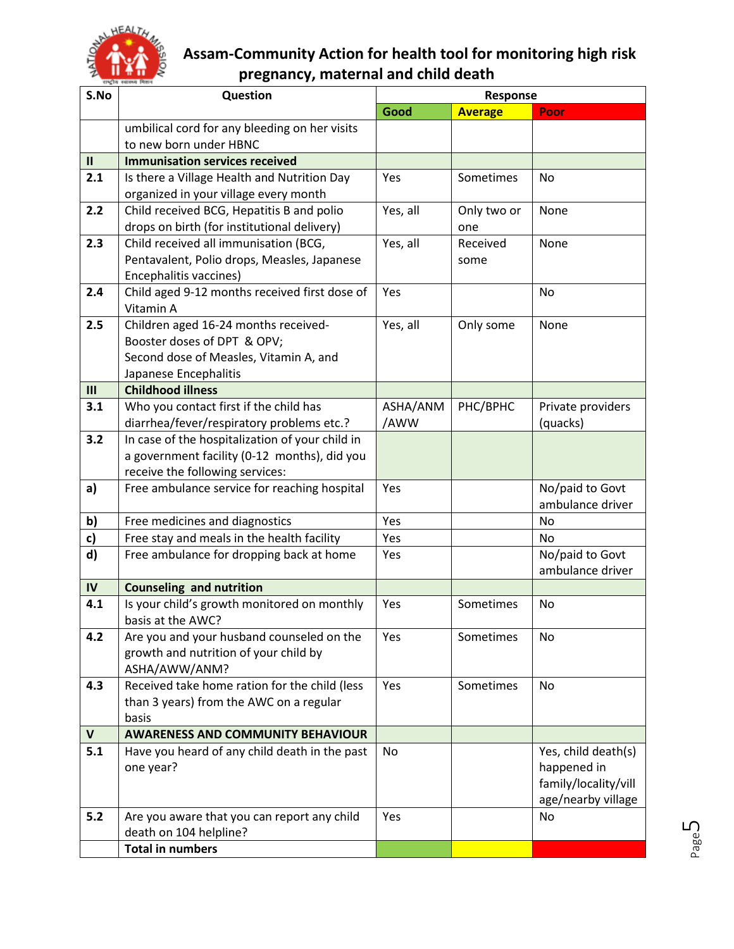

| S.No          | Question                                        | Response |                |                      |  |
|---------------|-------------------------------------------------|----------|----------------|----------------------|--|
|               |                                                 | Good     | <b>Average</b> | Poor                 |  |
|               | umbilical cord for any bleeding on her visits   |          |                |                      |  |
|               | to new born under HBNC                          |          |                |                      |  |
| $\mathbf{II}$ | <b>Immunisation services received</b>           |          |                |                      |  |
| 2.1           | Is there a Village Health and Nutrition Day     | Yes      | Sometimes      | No                   |  |
|               | organized in your village every month           |          |                |                      |  |
| 2.2           | Child received BCG, Hepatitis B and polio       | Yes, all | Only two or    | None                 |  |
|               | drops on birth (for institutional delivery)     |          | one            |                      |  |
| 2.3           | Child received all immunisation (BCG,           | Yes, all | Received       | None                 |  |
|               | Pentavalent, Polio drops, Measles, Japanese     |          | some           |                      |  |
|               | Encephalitis vaccines)                          |          |                |                      |  |
| 2.4           | Child aged 9-12 months received first dose of   | Yes      |                | No                   |  |
|               | Vitamin A                                       |          |                |                      |  |
| 2.5           | Children aged 16-24 months received-            | Yes, all | Only some      | None                 |  |
|               | Booster doses of DPT & OPV;                     |          |                |                      |  |
|               | Second dose of Measles, Vitamin A, and          |          |                |                      |  |
|               | Japanese Encephalitis                           |          |                |                      |  |
| III           | <b>Childhood illness</b>                        |          |                |                      |  |
| 3.1           | Who you contact first if the child has          | ASHA/ANM | PHC/BPHC       | Private providers    |  |
|               | diarrhea/fever/respiratory problems etc.?       | /AWW     |                | (quacks)             |  |
| 3.2           | In case of the hospitalization of your child in |          |                |                      |  |
|               | a government facility (0-12 months), did you    |          |                |                      |  |
|               | receive the following services:                 |          |                |                      |  |
| a)            | Free ambulance service for reaching hospital    | Yes      |                | No/paid to Govt      |  |
|               |                                                 |          |                | ambulance driver     |  |
| b)            | Free medicines and diagnostics                  | Yes      |                | <b>No</b>            |  |
| c)            | Free stay and meals in the health facility      | Yes      |                | <b>No</b>            |  |
| d)            | Free ambulance for dropping back at home        | Yes      |                | No/paid to Govt      |  |
|               |                                                 |          |                | ambulance driver     |  |
| IV            | <b>Counseling and nutrition</b>                 |          |                |                      |  |
| 4.1           | Is your child's growth monitored on monthly     | Yes      | Sometimes      | <b>No</b>            |  |
|               | basis at the AWC?                               |          |                |                      |  |
| 4.2           | Are you and your husband counseled on the       | Yes      | Sometimes      | No                   |  |
|               | growth and nutrition of your child by           |          |                |                      |  |
|               | ASHA/AWW/ANM?                                   |          |                |                      |  |
| 4.3           | Received take home ration for the child (less   | Yes      | Sometimes      | No                   |  |
|               | than 3 years) from the AWC on a regular         |          |                |                      |  |
|               | basis                                           |          |                |                      |  |
| $\mathsf{V}$  | <b>AWARENESS AND COMMUNITY BEHAVIOUR</b>        |          |                |                      |  |
| 5.1           | Have you heard of any child death in the past   | No       |                | Yes, child death(s)  |  |
|               | one year?                                       |          |                | happened in          |  |
|               |                                                 |          |                | family/locality/vill |  |
|               |                                                 |          |                | age/nearby village   |  |
| 5.2           | Are you aware that you can report any child     | Yes      |                | No                   |  |
|               | death on 104 helpline?                          |          |                |                      |  |
|               | <b>Total in numbers</b>                         |          |                |                      |  |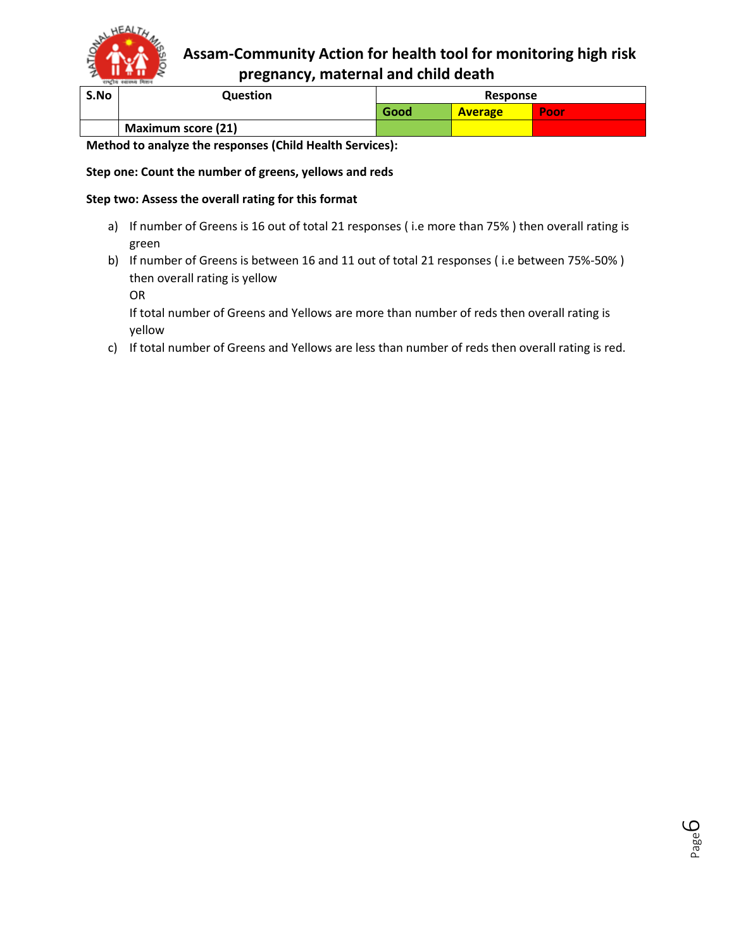

| S.No | <b>Question</b>           | Response |                |       |
|------|---------------------------|----------|----------------|-------|
|      |                           | Good     | <b>Average</b> | 'Poor |
|      | <b>Maximum score (21)</b> |          |                |       |

**Method to analyze the responses (Child Health Services):**

#### **Step one: Count the number of greens, yellows and reds**

#### **Step two: Assess the overall rating for this format**

- a) If number of Greens is 16 out of total 21 responses (i.e more than 75%) then overall rating is green
- b) If number of Greens is between 16 and 11 out of total 21 responses ( i.e between 75%-50% ) then overall rating is yellow

OR

If total number of Greens and Yellows are more than number of reds then overall rating is yellow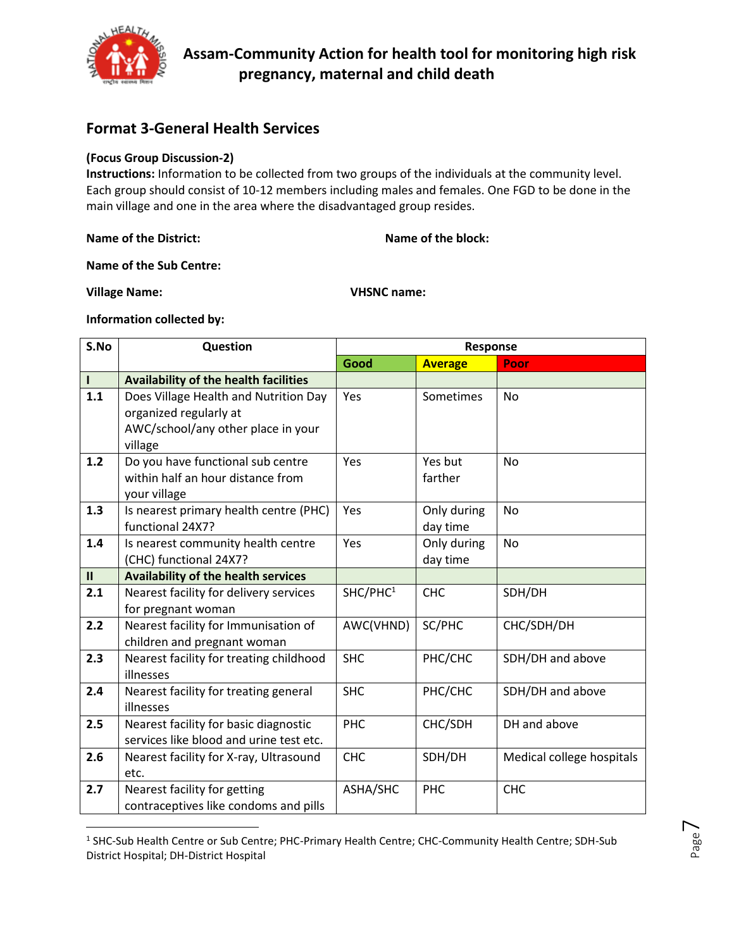

### **Format 3-General Health Services**

#### **(Focus Group Discussion-2)**

**Instructions:** Information to be collected from two groups of the individuals at the community level. Each group should consist of 10-12 members including males and females. One FGD to be done in the main village and one in the area where the disadvantaged group resides.

**Name of the District:** Name of the block:

**Name of the Sub Centre:** 

**Village Name: VHSNC name:**

 $\overline{\phantom{a}}$ 

**Information collected by:** 

| S.No          | Question                                                                                                         | Response             |                         |                           |  |
|---------------|------------------------------------------------------------------------------------------------------------------|----------------------|-------------------------|---------------------------|--|
|               |                                                                                                                  | Good                 | <b>Average</b>          | Poor                      |  |
| $\mathbf{I}$  | Availability of the health facilities                                                                            |                      |                         |                           |  |
| 1.1           | Does Village Health and Nutrition Day<br>organized regularly at<br>AWC/school/any other place in your<br>village | Yes                  | Sometimes               | <b>No</b>                 |  |
| 1.2           | Do you have functional sub centre<br>within half an hour distance from<br>your village                           | Yes                  | Yes but<br>farther      | <b>No</b>                 |  |
| 1.3           | Is nearest primary health centre (PHC)<br>functional 24X7?                                                       | Yes                  | Only during<br>day time | No                        |  |
| 1.4           | Is nearest community health centre<br>(CHC) functional 24X7?                                                     | Yes                  | Only during<br>day time | No                        |  |
| $\mathbf{II}$ | <b>Availability of the health services</b>                                                                       |                      |                         |                           |  |
| 2.1           | Nearest facility for delivery services<br>for pregnant woman                                                     | SHC/PHC <sup>1</sup> | <b>CHC</b>              | SDH/DH                    |  |
| 2.2           | Nearest facility for Immunisation of<br>children and pregnant woman                                              | AWC(VHND)            | SC/PHC                  | CHC/SDH/DH                |  |
| 2.3           | Nearest facility for treating childhood<br>illnesses                                                             | <b>SHC</b>           | PHC/CHC                 | SDH/DH and above          |  |
| 2.4           | Nearest facility for treating general<br>illnesses                                                               | <b>SHC</b>           | PHC/CHC                 | SDH/DH and above          |  |
| 2.5           | Nearest facility for basic diagnostic<br>services like blood and urine test etc.                                 | PHC                  | CHC/SDH                 | DH and above              |  |
| 2.6           | Nearest facility for X-ray, Ultrasound<br>etc.                                                                   | <b>CHC</b>           | SDH/DH                  | Medical college hospitals |  |
| 2.7           | Nearest facility for getting<br>contraceptives like condoms and pills                                            | ASHA/SHC             | <b>PHC</b>              | <b>CHC</b>                |  |

<sup>&</sup>lt;sup>1</sup> SHC-Sub Health Centre or Sub Centre; PHC-Primary Health Centre; CHC-Community Health Centre; SDH-Sub District Hospital; DH-District Hospital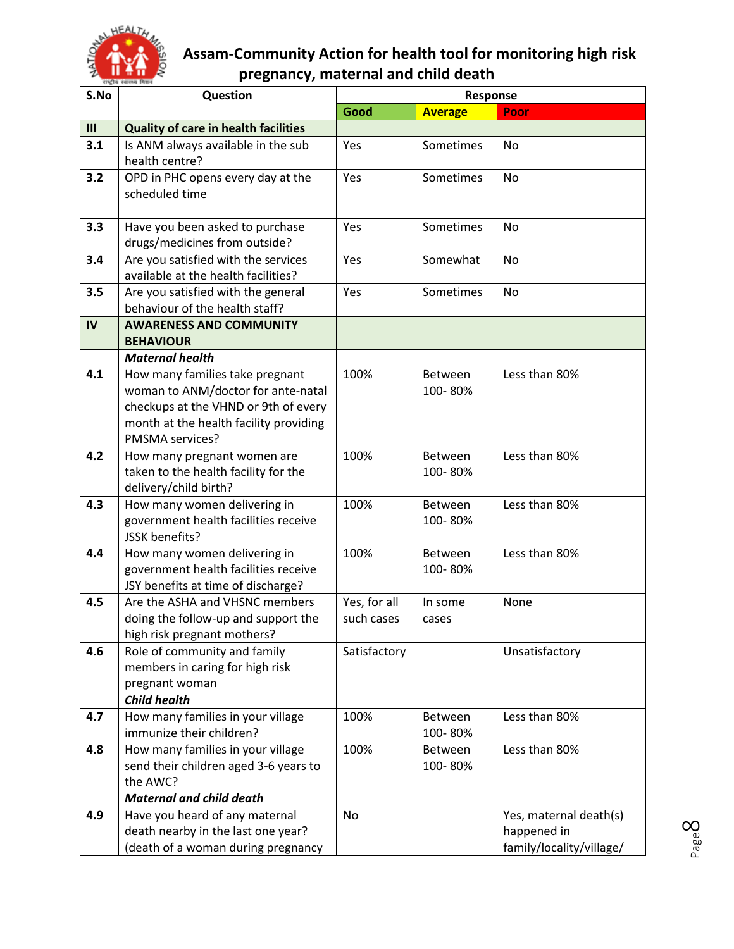

| S.No | Question                                                      |                 | Response       |                          |
|------|---------------------------------------------------------------|-----------------|----------------|--------------------------|
|      |                                                               | Good            | <b>Average</b> | Poor                     |
| III  | <b>Quality of care in health facilities</b>                   |                 |                |                          |
| 3.1  | Is ANM always available in the sub<br>health centre?          | Yes             | Sometimes      | No                       |
|      |                                                               |                 |                |                          |
| 3.2  | OPD in PHC opens every day at the<br>scheduled time           | Yes             | Sometimes      | No                       |
|      |                                                               |                 |                |                          |
| 3.3  | Have you been asked to purchase                               | Yes             | Sometimes      | No                       |
|      | drugs/medicines from outside?                                 |                 |                |                          |
| 3.4  | Are you satisfied with the services                           | Yes             | Somewhat       | No                       |
|      | available at the health facilities?                           |                 |                |                          |
| 3.5  | Are you satisfied with the general                            | Yes             | Sometimes      | No                       |
|      | behaviour of the health staff?                                |                 |                |                          |
| IV   | <b>AWARENESS AND COMMUNITY</b>                                |                 |                |                          |
|      | <b>BEHAVIOUR</b>                                              |                 |                |                          |
|      | <b>Maternal health</b>                                        |                 |                |                          |
| 4.1  | How many families take pregnant                               | 100%            | Between        | Less than 80%            |
|      | woman to ANM/doctor for ante-natal                            |                 | 100-80%        |                          |
|      | checkups at the VHND or 9th of every                          |                 |                |                          |
|      | month at the health facility providing                        |                 |                |                          |
|      | PMSMA services?                                               |                 |                |                          |
| 4.2  | How many pregnant women are                                   | 100%            | Between        | Less than 80%            |
|      | taken to the health facility for the<br>delivery/child birth? |                 | 100-80%        |                          |
| 4.3  | How many women delivering in                                  | 100%            | Between        | Less than 80%            |
|      | government health facilities receive                          |                 | 100-80%        |                          |
|      | JSSK benefits?                                                |                 |                |                          |
| 4.4  | How many women delivering in                                  | 100%            | Between        | Less than 80%            |
|      | government health facilities receive                          |                 | 100-80%        |                          |
|      | JSY benefits at time of discharge?                            |                 |                |                          |
| 4.5  | Are the ASHA and VHSNC members                                | Yes, for all    | In some        | None                     |
|      | doing the follow-up and support the                           | such cases      | cases          |                          |
|      | high risk pregnant mothers?                                   |                 |                |                          |
| 4.6  | Role of community and family                                  | Satisfactory    |                | Unsatisfactory           |
|      | members in caring for high risk                               |                 |                |                          |
|      | pregnant woman                                                |                 |                |                          |
|      | <b>Child health</b>                                           |                 |                |                          |
| 4.7  | How many families in your village                             | 100%            | Between        | Less than 80%            |
|      | immunize their children?                                      |                 | 100-80%        |                          |
| 4.8  | How many families in your village                             | 100%<br>Between |                | Less than 80%            |
|      | send their children aged 3-6 years to                         |                 | 100-80%        |                          |
|      | the AWC?                                                      |                 |                |                          |
|      | <b>Maternal and child death</b>                               |                 |                |                          |
| 4.9  | Have you heard of any maternal                                | No              |                | Yes, maternal death(s)   |
|      | death nearby in the last one year?                            |                 |                | happened in              |
|      | (death of a woman during pregnancy                            |                 |                | family/locality/village/ |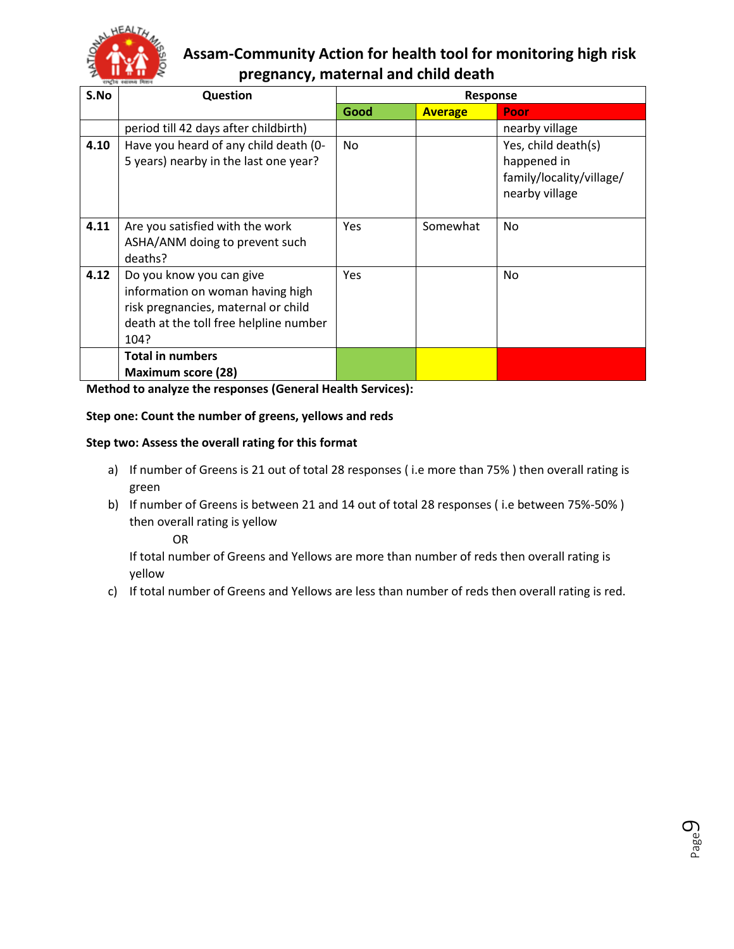

| S.No | Question                                                                                                                                              |      | <b>Response</b> |                                                                                  |
|------|-------------------------------------------------------------------------------------------------------------------------------------------------------|------|-----------------|----------------------------------------------------------------------------------|
|      |                                                                                                                                                       | Good | <b>Average</b>  | Poor                                                                             |
|      | period till 42 days after childbirth)                                                                                                                 |      |                 | nearby village                                                                   |
| 4.10 | Have you heard of any child death (0-<br>5 years) nearby in the last one year?                                                                        | No.  |                 | Yes, child death(s)<br>happened in<br>family/locality/village/<br>nearby village |
| 4.11 | Are you satisfied with the work<br>ASHA/ANM doing to prevent such<br>deaths?                                                                          | Yes  | Somewhat        | No                                                                               |
| 4.12 | Do you know you can give<br>information on woman having high<br>risk pregnancies, maternal or child<br>death at the toll free helpline number<br>104? | Yes  |                 | <b>No</b>                                                                        |
|      | <b>Total in numbers</b><br><b>Maximum score (28)</b>                                                                                                  |      |                 |                                                                                  |

**Method to analyze the responses (General Health Services):**

#### **Step one: Count the number of greens, yellows and reds**

#### **Step two: Assess the overall rating for this format**

- a) If number of Greens is 21 out of total 28 responses (i.e more than 75%) then overall rating is green
- b) If number of Greens is between 21 and 14 out of total 28 responses ( i.e between 75%-50% ) then overall rating is yellow

OR

If total number of Greens and Yellows are more than number of reds then overall rating is yellow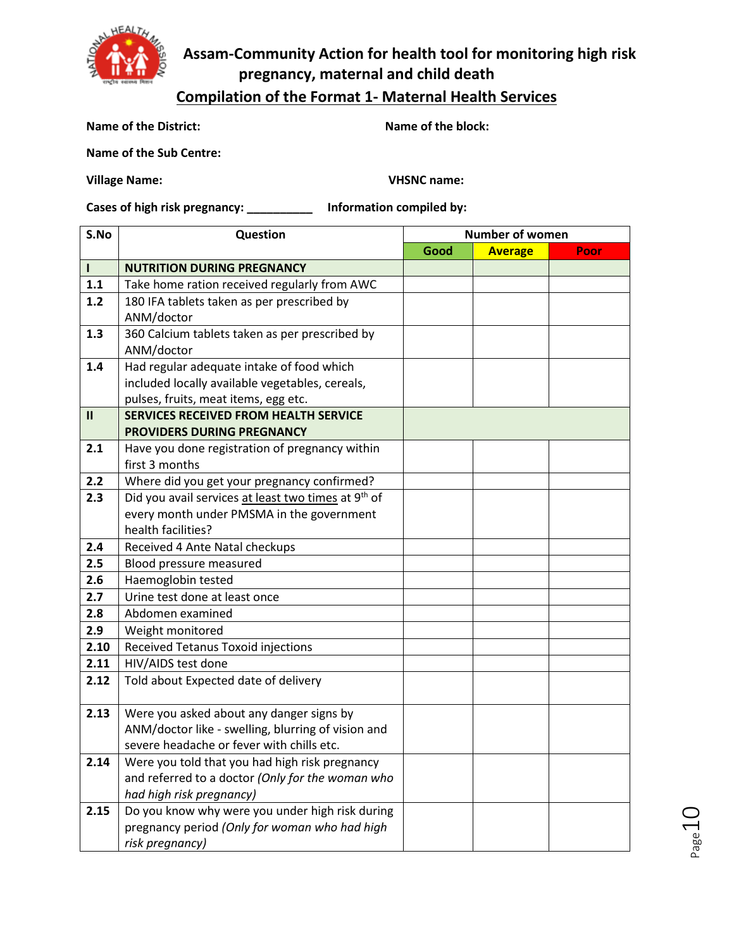

## **Compilation of the Format 1- Maternal Health Services**

**Name of the District:** Name of the block:

**Name of the Sub Centre:** 

**Village Name: VHSNC name:**

**Cases of high risk pregnancy: \_\_\_\_\_\_\_\_\_\_ Information compiled by:** 

| S.No          | Question                                                        | <b>Number of women</b> |                |      |
|---------------|-----------------------------------------------------------------|------------------------|----------------|------|
|               |                                                                 | Good                   | <b>Average</b> | Poor |
| $\mathbf{I}$  | <b>NUTRITION DURING PREGNANCY</b>                               |                        |                |      |
| 1.1           | Take home ration received regularly from AWC                    |                        |                |      |
| $1.2$         | 180 IFA tablets taken as per prescribed by                      |                        |                |      |
|               | ANM/doctor                                                      |                        |                |      |
| 1.3           | 360 Calcium tablets taken as per prescribed by                  |                        |                |      |
|               | ANM/doctor                                                      |                        |                |      |
| 1.4           | Had regular adequate intake of food which                       |                        |                |      |
|               | included locally available vegetables, cereals,                 |                        |                |      |
|               | pulses, fruits, meat items, egg etc.                            |                        |                |      |
| $\mathbf{II}$ | <b>SERVICES RECEIVED FROM HEALTH SERVICE</b>                    |                        |                |      |
|               | <b>PROVIDERS DURING PREGNANCY</b>                               |                        |                |      |
| 2.1           | Have you done registration of pregnancy within                  |                        |                |      |
|               | first 3 months                                                  |                        |                |      |
| 2.2           | Where did you get your pregnancy confirmed?                     |                        |                |      |
| 2.3           | Did you avail services at least two times at 9 <sup>th</sup> of |                        |                |      |
|               | every month under PMSMA in the government                       |                        |                |      |
|               | health facilities?                                              |                        |                |      |
| 2.4           | Received 4 Ante Natal checkups                                  |                        |                |      |
| 2.5           | Blood pressure measured                                         |                        |                |      |
| 2.6           | Haemoglobin tested                                              |                        |                |      |
| 2.7           | Urine test done at least once                                   |                        |                |      |
| 2.8           | Abdomen examined                                                |                        |                |      |
| 2.9           | Weight monitored                                                |                        |                |      |
| 2.10          | Received Tetanus Toxoid injections                              |                        |                |      |
| 2.11          | HIV/AIDS test done                                              |                        |                |      |
| 2.12          | Told about Expected date of delivery                            |                        |                |      |
|               |                                                                 |                        |                |      |
| 2.13          | Were you asked about any danger signs by                        |                        |                |      |
|               | ANM/doctor like - swelling, blurring of vision and              |                        |                |      |
|               | severe headache or fever with chills etc.                       |                        |                |      |
| 2.14          | Were you told that you had high risk pregnancy                  |                        |                |      |
|               | and referred to a doctor (Only for the woman who                |                        |                |      |
|               | had high risk pregnancy)                                        |                        |                |      |
| 2.15          | Do you know why were you under high risk during                 |                        |                |      |
|               | pregnancy period (Only for woman who had high                   |                        |                |      |
|               | risk pregnancy)                                                 |                        |                |      |

Page 10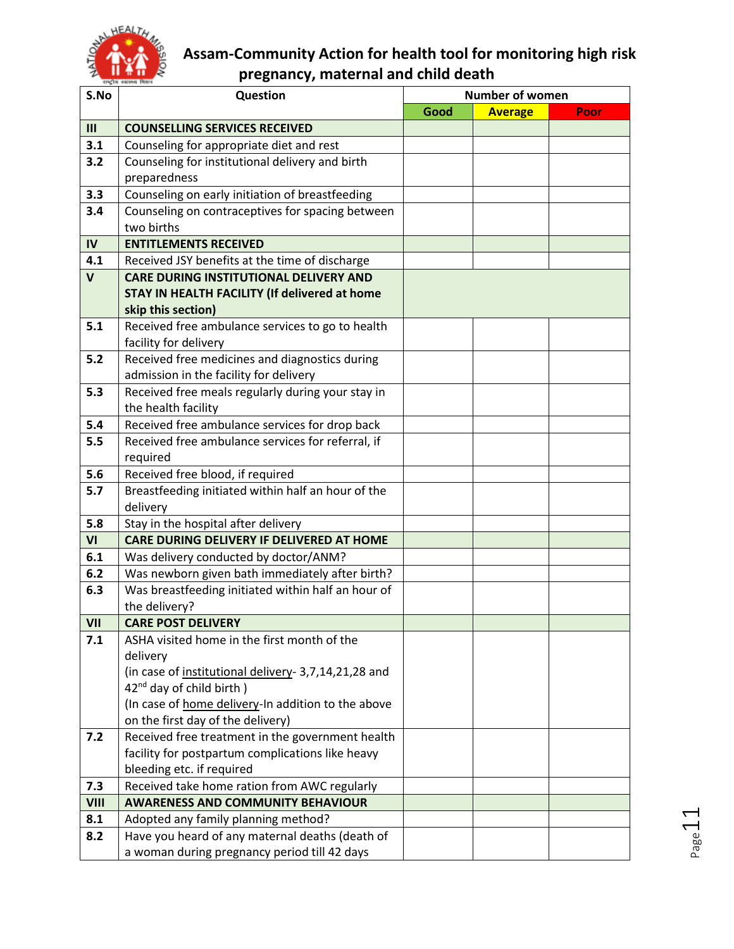

| S.No        | Question                                             | <b>Number of women</b> |                |      |  |
|-------------|------------------------------------------------------|------------------------|----------------|------|--|
|             |                                                      | Good                   | <b>Average</b> | Poor |  |
| III         | <b>COUNSELLING SERVICES RECEIVED</b>                 |                        |                |      |  |
| 3.1         | Counseling for appropriate diet and rest             |                        |                |      |  |
| 3.2         | Counseling for institutional delivery and birth      |                        |                |      |  |
|             | preparedness                                         |                        |                |      |  |
| 3.3         | Counseling on early initiation of breastfeeding      |                        |                |      |  |
| 3.4         | Counseling on contraceptives for spacing between     |                        |                |      |  |
|             | two births                                           |                        |                |      |  |
| IV          | <b>ENTITLEMENTS RECEIVED</b>                         |                        |                |      |  |
| 4.1         | Received JSY benefits at the time of discharge       |                        |                |      |  |
| $\mathbf v$ | <b>CARE DURING INSTITUTIONAL DELIVERY AND</b>        |                        |                |      |  |
|             | STAY IN HEALTH FACILITY (If delivered at home        |                        |                |      |  |
|             | skip this section)                                   |                        |                |      |  |
| 5.1         | Received free ambulance services to go to health     |                        |                |      |  |
|             | facility for delivery                                |                        |                |      |  |
| 5.2         | Received free medicines and diagnostics during       |                        |                |      |  |
|             | admission in the facility for delivery               |                        |                |      |  |
| 5.3         | Received free meals regularly during your stay in    |                        |                |      |  |
|             | the health facility                                  |                        |                |      |  |
| 5.4         | Received free ambulance services for drop back       |                        |                |      |  |
| 5.5         | Received free ambulance services for referral, if    |                        |                |      |  |
|             | required                                             |                        |                |      |  |
| 5.6         | Received free blood, if required                     |                        |                |      |  |
| 5.7         | Breastfeeding initiated within half an hour of the   |                        |                |      |  |
| 5.8         | delivery<br>Stay in the hospital after delivery      |                        |                |      |  |
| VI          | CARE DURING DELIVERY IF DELIVERED AT HOME            |                        |                |      |  |
| 6.1         | Was delivery conducted by doctor/ANM?                |                        |                |      |  |
| 6.2         | Was newborn given bath immediately after birth?      |                        |                |      |  |
| 6.3         | Was breastfeeding initiated within half an hour of   |                        |                |      |  |
|             | the delivery?                                        |                        |                |      |  |
| VII         | <b>CARE POST DELIVERY</b>                            |                        |                |      |  |
| 7.1         | ASHA visited home in the first month of the          |                        |                |      |  |
|             | delivery                                             |                        |                |      |  |
|             | (in case of institutional delivery- 3,7,14,21,28 and |                        |                |      |  |
|             | $42nd$ day of child birth )                          |                        |                |      |  |
|             | (In case of home delivery-In addition to the above   |                        |                |      |  |
|             | on the first day of the delivery)                    |                        |                |      |  |
| 7.2         | Received free treatment in the government health     |                        |                |      |  |
|             | facility for postpartum complications like heavy     |                        |                |      |  |
|             | bleeding etc. if required                            |                        |                |      |  |
| 7.3         | Received take home ration from AWC regularly         |                        |                |      |  |
| <b>VIII</b> | <b>AWARENESS AND COMMUNITY BEHAVIOUR</b>             |                        |                |      |  |
| 8.1         | Adopted any family planning method?                  |                        |                |      |  |
| 8.2         | Have you heard of any maternal deaths (death of      |                        |                |      |  |
|             | a woman during pregnancy period till 42 days         |                        |                |      |  |

Page 11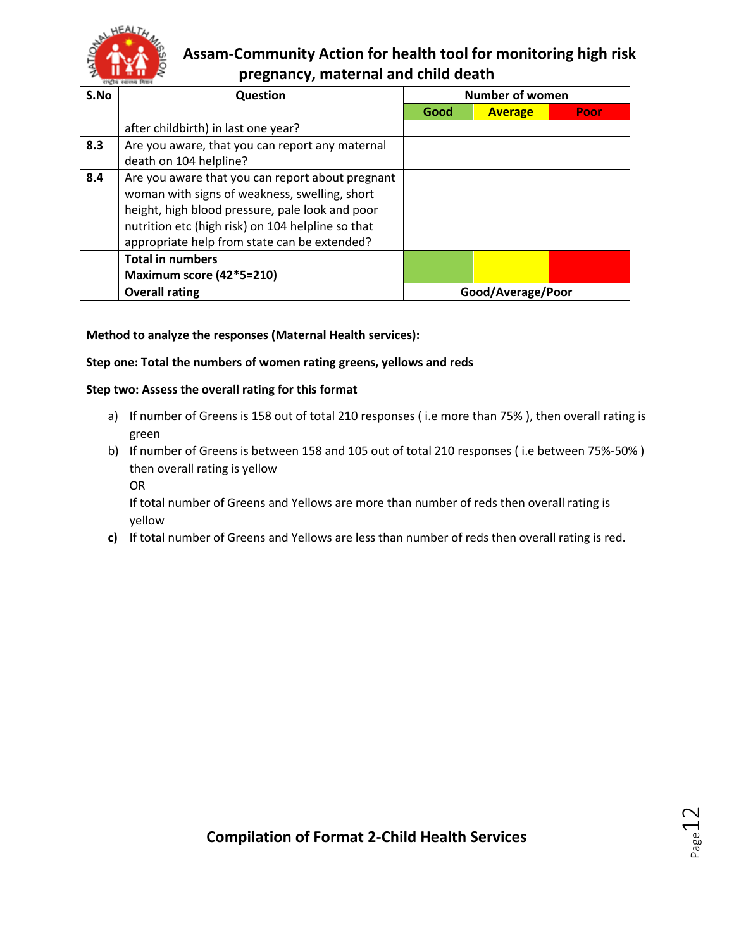

| S.No | Question                                                                                                                                                                                                                                                  | <b>Number of women</b> |                   |      |
|------|-----------------------------------------------------------------------------------------------------------------------------------------------------------------------------------------------------------------------------------------------------------|------------------------|-------------------|------|
|      |                                                                                                                                                                                                                                                           | Good                   | <b>Average</b>    | Poor |
|      | after childbirth) in last one year?                                                                                                                                                                                                                       |                        |                   |      |
| 8.3  | Are you aware, that you can report any maternal<br>death on 104 helpline?                                                                                                                                                                                 |                        |                   |      |
| 8.4  | Are you aware that you can report about pregnant<br>woman with signs of weakness, swelling, short<br>height, high blood pressure, pale look and poor<br>nutrition etc (high risk) on 104 helpline so that<br>appropriate help from state can be extended? |                        |                   |      |
|      | <b>Total in numbers</b><br>Maximum score (42*5=210)                                                                                                                                                                                                       |                        |                   |      |
|      | <b>Overall rating</b>                                                                                                                                                                                                                                     |                        | Good/Average/Poor |      |

#### **Method to analyze the responses (Maternal Health services):**

#### **Step one: Total the numbers of women rating greens, yellows and reds**

#### **Step two: Assess the overall rating for this format**

- a) If number of Greens is 158 out of total 210 responses ( i.e more than 75% ), then overall rating is green
- b) If number of Greens is between 158 and 105 out of total 210 responses ( i.e between 75%-50% ) then overall rating is yellow
	- OR

If total number of Greens and Yellows are more than number of reds then overall rating is yellow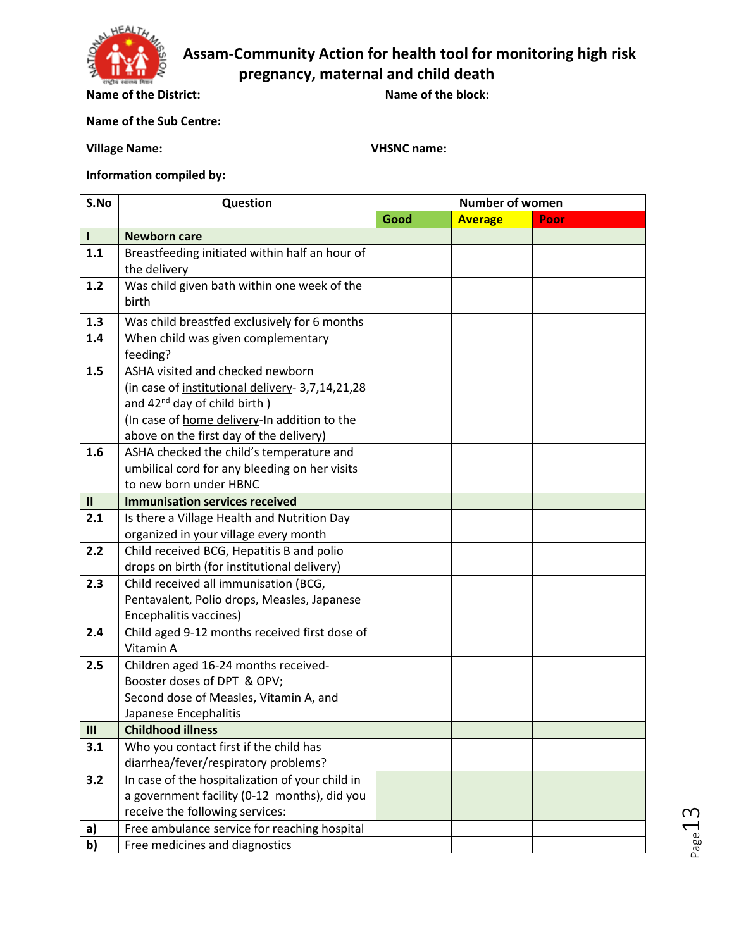

**Name of the District: Name of the block:** 

**Name of the Sub Centre:** 

**Village Name: VHSNC name:**

**Information compiled by:** 

| S.No          | Question                                         | <b>Number of women</b> |                |      |  |
|---------------|--------------------------------------------------|------------------------|----------------|------|--|
|               |                                                  | Good                   | <b>Average</b> | Poor |  |
| L             | <b>Newborn care</b>                              |                        |                |      |  |
| 1.1           | Breastfeeding initiated within half an hour of   |                        |                |      |  |
|               | the delivery                                     |                        |                |      |  |
| 1.2           | Was child given bath within one week of the      |                        |                |      |  |
|               | birth                                            |                        |                |      |  |
| 1.3           | Was child breastfed exclusively for 6 months     |                        |                |      |  |
| 1.4           | When child was given complementary               |                        |                |      |  |
|               | feeding?                                         |                        |                |      |  |
| 1.5           | ASHA visited and checked newborn                 |                        |                |      |  |
|               | (in case of institutional delivery- 3,7,14,21,28 |                        |                |      |  |
|               | and $42^{nd}$ day of child birth)                |                        |                |      |  |
|               | (In case of home delivery-In addition to the     |                        |                |      |  |
|               | above on the first day of the delivery)          |                        |                |      |  |
| 1.6           | ASHA checked the child's temperature and         |                        |                |      |  |
|               | umbilical cord for any bleeding on her visits    |                        |                |      |  |
|               | to new born under HBNC                           |                        |                |      |  |
| $\mathbf{II}$ | <b>Immunisation services received</b>            |                        |                |      |  |
| 2.1           | Is there a Village Health and Nutrition Day      |                        |                |      |  |
|               | organized in your village every month            |                        |                |      |  |
| 2.2           | Child received BCG, Hepatitis B and polio        |                        |                |      |  |
|               | drops on birth (for institutional delivery)      |                        |                |      |  |
| 2.3           | Child received all immunisation (BCG,            |                        |                |      |  |
|               | Pentavalent, Polio drops, Measles, Japanese      |                        |                |      |  |
|               | Encephalitis vaccines)                           |                        |                |      |  |
| 2.4           | Child aged 9-12 months received first dose of    |                        |                |      |  |
|               | Vitamin A                                        |                        |                |      |  |
| 2.5           | Children aged 16-24 months received-             |                        |                |      |  |
|               | Booster doses of DPT & OPV;                      |                        |                |      |  |
|               | Second dose of Measles, Vitamin A, and           |                        |                |      |  |
|               | Japanese Encephalitis                            |                        |                |      |  |
| III           | <b>Childhood illness</b>                         |                        |                |      |  |
| 3.1           | Who you contact first if the child has           |                        |                |      |  |
|               | diarrhea/fever/respiratory problems?             |                        |                |      |  |
| 3.2           | In case of the hospitalization of your child in  |                        |                |      |  |
|               | a government facility (0-12 months), did you     |                        |                |      |  |
|               | receive the following services:                  |                        |                |      |  |
| a)            | Free ambulance service for reaching hospital     |                        |                |      |  |
| b)            | Free medicines and diagnostics                   |                        |                |      |  |

Page **1**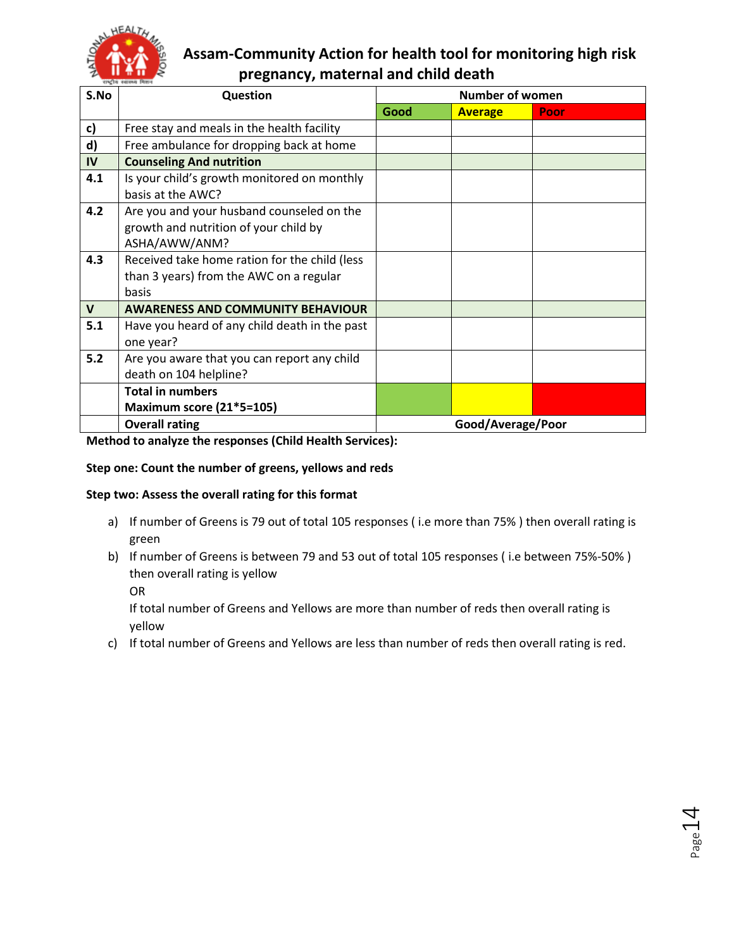

| S.No         | <b>Question</b>                                                                                     | <b>Number of women</b> |                |      |  |
|--------------|-----------------------------------------------------------------------------------------------------|------------------------|----------------|------|--|
|              |                                                                                                     | Good                   | <b>Average</b> | Poor |  |
| c)           | Free stay and meals in the health facility                                                          |                        |                |      |  |
| d)           | Free ambulance for dropping back at home                                                            |                        |                |      |  |
| IV           | <b>Counseling And nutrition</b>                                                                     |                        |                |      |  |
| 4.1          | Is your child's growth monitored on monthly<br>basis at the AWC?                                    |                        |                |      |  |
| 4.2          | Are you and your husband counseled on the<br>growth and nutrition of your child by<br>ASHA/AWW/ANM? |                        |                |      |  |
| 4.3          | Received take home ration for the child (less<br>than 3 years) from the AWC on a regular<br>basis   |                        |                |      |  |
| $\mathsf{V}$ | <b>AWARENESS AND COMMUNITY BEHAVIOUR</b>                                                            |                        |                |      |  |
| 5.1          | Have you heard of any child death in the past<br>one year?                                          |                        |                |      |  |
| 5.2          | Are you aware that you can report any child<br>death on 104 helpline?                               |                        |                |      |  |
|              | <b>Total in numbers</b>                                                                             |                        |                |      |  |
|              | <b>Maximum score (21*5=105)</b>                                                                     |                        |                |      |  |
|              | <b>Overall rating</b>                                                                               | Good/Average/Poor      |                |      |  |

**Method to analyze the responses (Child Health Services):**

#### **Step one: Count the number of greens, yellows and reds**

#### **Step two: Assess the overall rating for this format**

- a) If number of Greens is 79 out of total 105 responses (i.e more than 75%) then overall rating is green
- b) If number of Greens is between 79 and 53 out of total 105 responses ( i.e between 75%-50% ) then overall rating is yellow
	- OR

If total number of Greens and Yellows are more than number of reds then overall rating is yellow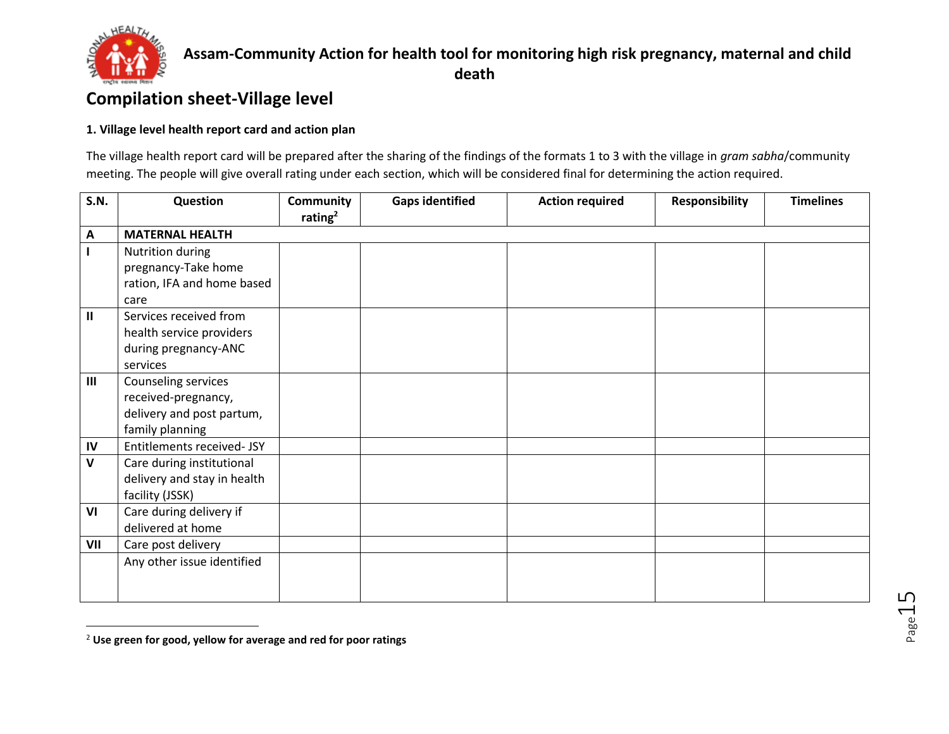

 $\overline{\phantom{a}}$ 

### **Assam-Community Action for health tool for monitoring high risk pregnancy, maternal and child death**

# **Compilation sheet-Village level**

#### **1. Village level health report card and action plan**

The village health report card will be prepared after the sharing of the findings of the formats 1 to 3 with the village in *gram sabha*/community meeting. The people will give overall rating under each section, which will be considered final for determining the action required.

| <b>S.N.</b>  | Question                    | <b>Community</b> | <b>Gaps identified</b> | <b>Action required</b> | <b>Responsibility</b> | <b>Timelines</b> |
|--------------|-----------------------------|------------------|------------------------|------------------------|-----------------------|------------------|
|              |                             | rating $2$       |                        |                        |                       |                  |
| A            | <b>MATERNAL HEALTH</b>      |                  |                        |                        |                       |                  |
|              | Nutrition during            |                  |                        |                        |                       |                  |
|              | pregnancy-Take home         |                  |                        |                        |                       |                  |
|              | ration, IFA and home based  |                  |                        |                        |                       |                  |
|              | care                        |                  |                        |                        |                       |                  |
| Ш            | Services received from      |                  |                        |                        |                       |                  |
|              | health service providers    |                  |                        |                        |                       |                  |
|              | during pregnancy-ANC        |                  |                        |                        |                       |                  |
|              | services                    |                  |                        |                        |                       |                  |
| III          | Counseling services         |                  |                        |                        |                       |                  |
|              | received-pregnancy,         |                  |                        |                        |                       |                  |
|              | delivery and post partum,   |                  |                        |                        |                       |                  |
|              | family planning             |                  |                        |                        |                       |                  |
| IV           | Entitlements received- JSY  |                  |                        |                        |                       |                  |
| $\mathbf{V}$ | Care during institutional   |                  |                        |                        |                       |                  |
|              | delivery and stay in health |                  |                        |                        |                       |                  |
|              | facility (JSSK)             |                  |                        |                        |                       |                  |
| VI           | Care during delivery if     |                  |                        |                        |                       |                  |
|              | delivered at home           |                  |                        |                        |                       |                  |
| VII          | Care post delivery          |                  |                        |                        |                       |                  |
|              | Any other issue identified  |                  |                        |                        |                       |                  |
|              |                             |                  |                        |                        |                       |                  |
|              |                             |                  |                        |                        |                       |                  |

<sup>2</sup> **Use green for good, yellow for average and red for poor ratings**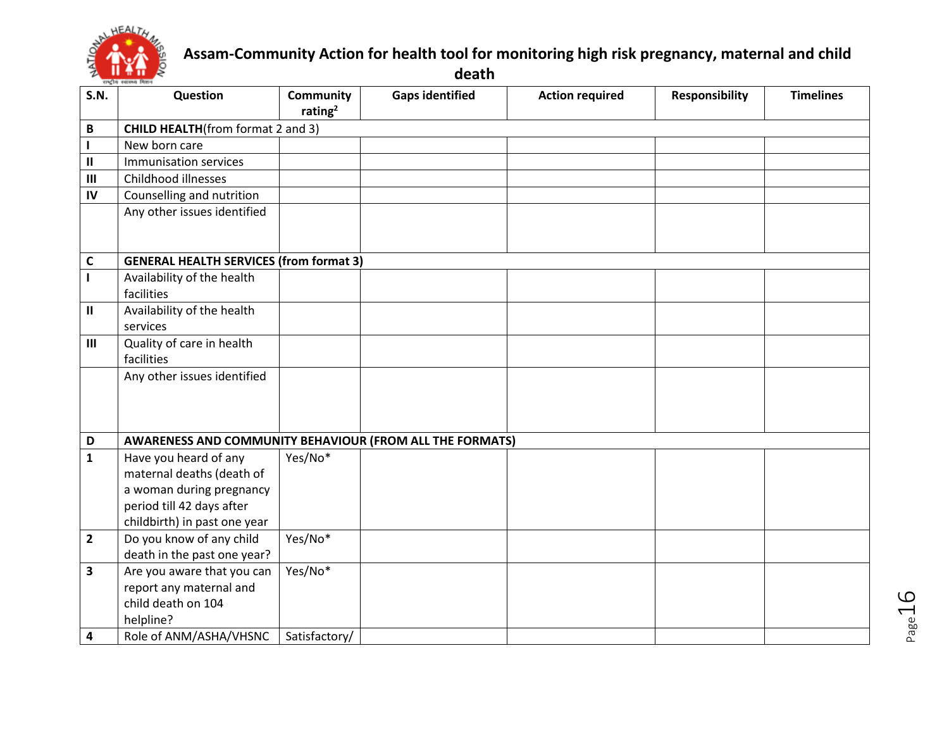

**death**

| <b>S.N.</b>    | Question                                                 | <b>Community</b><br>rating $2$ | <b>Gaps identified</b> | <b>Action required</b> | <b>Responsibility</b> | <b>Timelines</b> |
|----------------|----------------------------------------------------------|--------------------------------|------------------------|------------------------|-----------------------|------------------|
| B              | <b>CHILD HEALTH</b> (from format 2 and 3)                |                                |                        |                        |                       |                  |
| $\mathbf{I}$   | New born care                                            |                                |                        |                        |                       |                  |
| Ш              | Immunisation services                                    |                                |                        |                        |                       |                  |
| III            | Childhood illnesses                                      |                                |                        |                        |                       |                  |
| IV             | Counselling and nutrition                                |                                |                        |                        |                       |                  |
|                | Any other issues identified                              |                                |                        |                        |                       |                  |
| C              | <b>GENERAL HEALTH SERVICES (from format 3)</b>           |                                |                        |                        |                       |                  |
|                | Availability of the health                               |                                |                        |                        |                       |                  |
|                | facilities                                               |                                |                        |                        |                       |                  |
| Ш              | Availability of the health                               |                                |                        |                        |                       |                  |
|                | services                                                 |                                |                        |                        |                       |                  |
| III            | Quality of care in health                                |                                |                        |                        |                       |                  |
|                | facilities                                               |                                |                        |                        |                       |                  |
|                | Any other issues identified                              |                                |                        |                        |                       |                  |
|                |                                                          |                                |                        |                        |                       |                  |
|                |                                                          |                                |                        |                        |                       |                  |
| D              | AWARENESS AND COMMUNITY BEHAVIOUR (FROM ALL THE FORMATS) |                                |                        |                        |                       |                  |
| $\mathbf{1}$   | Have you heard of any                                    | Yes/No*                        |                        |                        |                       |                  |
|                | maternal deaths (death of                                |                                |                        |                        |                       |                  |
|                | a woman during pregnancy                                 |                                |                        |                        |                       |                  |
|                | period till 42 days after                                |                                |                        |                        |                       |                  |
|                | childbirth) in past one year                             |                                |                        |                        |                       |                  |
| $\overline{2}$ | Do you know of any child                                 | Yes/No*                        |                        |                        |                       |                  |
|                | death in the past one year?                              |                                |                        |                        |                       |                  |
| 3              | Are you aware that you can                               | Yes/No*                        |                        |                        |                       |                  |
|                | report any maternal and                                  |                                |                        |                        |                       |                  |
|                | child death on 104                                       |                                |                        |                        |                       |                  |
|                | helpline?                                                |                                |                        |                        |                       |                  |
| 4              | Role of ANM/ASHA/VHSNC                                   | Satisfactory/                  |                        |                        |                       |                  |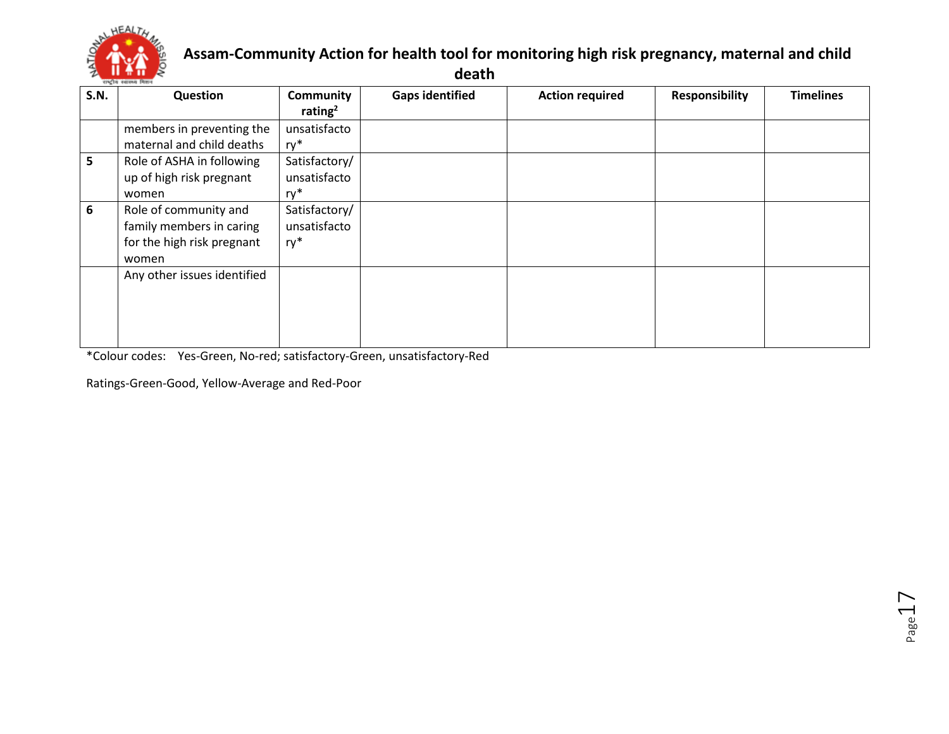

**death**

| <b>S.N.</b> | Question                    | <b>Community</b> | <b>Gaps identified</b> | <b>Action required</b> | <b>Responsibility</b> | <b>Timelines</b> |
|-------------|-----------------------------|------------------|------------------------|------------------------|-----------------------|------------------|
|             |                             | rating $2$       |                        |                        |                       |                  |
|             | members in preventing the   | unsatisfacto     |                        |                        |                       |                  |
|             | maternal and child deaths   | ry*              |                        |                        |                       |                  |
| 5.          | Role of ASHA in following   | Satisfactory/    |                        |                        |                       |                  |
|             | up of high risk pregnant    | unsatisfacto     |                        |                        |                       |                  |
|             | women                       | ry*              |                        |                        |                       |                  |
| 6           | Role of community and       | Satisfactory/    |                        |                        |                       |                  |
|             | family members in caring    | unsatisfacto     |                        |                        |                       |                  |
|             | for the high risk pregnant  | ry*              |                        |                        |                       |                  |
|             | women                       |                  |                        |                        |                       |                  |
|             | Any other issues identified |                  |                        |                        |                       |                  |
|             |                             |                  |                        |                        |                       |                  |
|             |                             |                  |                        |                        |                       |                  |
|             |                             |                  |                        |                        |                       |                  |
|             |                             |                  |                        |                        |                       |                  |

\*Colour codes: Yes-Green, No-red; satisfactory-Green, unsatisfactory-Red

Ratings-Green-Good, Yellow-Average and Red-Poor